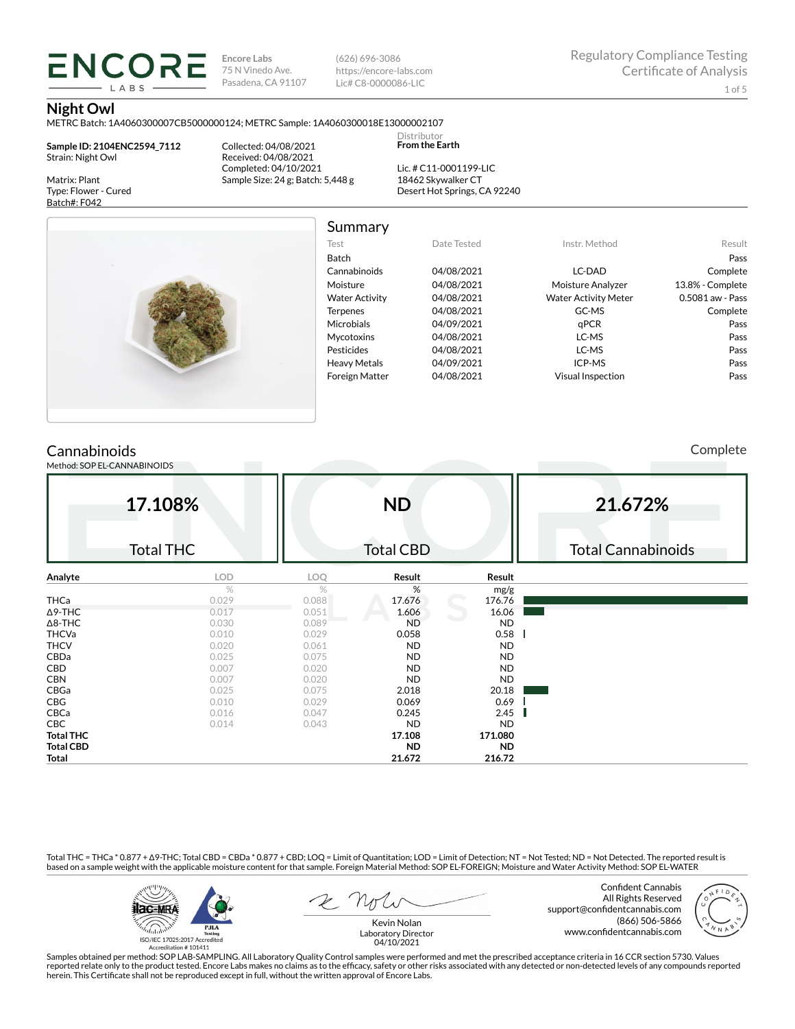**Encore Labs** 75 N Vinedo Ave. Pasadena, CA 91107 (626) 696-3086 https://encore-labs.com Lic# C8-0000086-LIC

Summary

Distributor **From the Earth**

#### **Night Owl**

METRC Batch: 1A4060300007CB5000000124; METRC Sample: 1A4060300018E13000002107

**Sample ID: 2104ENC2594\_7112** Strain: Night Owl

**ENCORE** LABS

Matrix: Plant Type: Flower - Cured Batch#: F042

Collected: 04/08/2021 Received: 04/08/2021 Completed: 04/10/2021 Sample Size: 24 g; Batch: 5,448 g

Lic. # C11-0001199-LIC 18462 Skywalker CT Desert Hot Springs, CA 92240



| Test                  | Date Tested | Instr. Method               | Result           |
|-----------------------|-------------|-----------------------------|------------------|
| Batch                 |             |                             | Pass             |
| Cannabinoids          | 04/08/2021  | LC-DAD                      | Complete         |
| Moisture              | 04/08/2021  | Moisture Analyzer           | 13.8% - Complete |
| <b>Water Activity</b> | 04/08/2021  | <b>Water Activity Meter</b> | 0.5081 aw - Pass |
| <b>Terpenes</b>       | 04/08/2021  | GC-MS                       | Complete         |
| <b>Microbials</b>     | 04/09/2021  | qPCR                        | Pass             |
| <b>Mycotoxins</b>     | 04/08/2021  | LC-MS                       | Pass             |
| Pesticides            | 04/08/2021  | LC-MS                       | Pass             |
| <b>Heavy Metals</b>   | 04/09/2021  | ICP-MS                      | Pass             |
| <b>Foreign Matter</b> | 04/08/2021  | Visual Inspection           | Pass             |

## **Cannabinoids**

Method: SOP EL-CANNABINOIDS

Complete

|                  | 17.108%          | <b>ND</b> |                  |           | 21.672%                   |
|------------------|------------------|-----------|------------------|-----------|---------------------------|
|                  | <b>Total THC</b> |           | <b>Total CBD</b> |           | <b>Total Cannabinoids</b> |
| Analyte          | <b>LOD</b>       | LOQ       | Result           | Result    |                           |
|                  | $\%$             | %         | %                | mg/g      |                           |
| <b>THCa</b>      | 0.029            | 0.088     | 17.676           | 176.76    |                           |
| $\Delta$ 9-THC   | 0.017            | 0.051     | 1.606            | 16.06     |                           |
| $\Delta$ 8-THC   | 0.030            | 0.089     | <b>ND</b>        | <b>ND</b> |                           |
| <b>THCVa</b>     | 0.010            | 0.029     | 0.058            | 0.58      |                           |
| <b>THCV</b>      | 0.020            | 0.061     | ND               | <b>ND</b> |                           |
| CBDa             | 0.025            | 0.075     | ND               | <b>ND</b> |                           |
| CBD              | 0.007            | 0.020     | <b>ND</b>        | <b>ND</b> |                           |
| <b>CBN</b>       | 0.007            | 0.020     | ND               | ND        |                           |
| CBGa             | 0.025            | 0.075     | 2.018            | 20.18     |                           |
| CBG              | 0.010            | 0.029     | 0.069            | 0.69      |                           |
| CBCa             | 0.016            | 0.047     | 0.245            | 2.45      |                           |
| <b>CBC</b>       | 0.014            | 0.043     | <b>ND</b>        | <b>ND</b> |                           |
| <b>Total THC</b> |                  |           | 17.108           | 171.080   |                           |
| <b>Total CBD</b> |                  |           | <b>ND</b>        | <b>ND</b> |                           |
| Total            |                  |           | 21.672           | 216.72    |                           |

Total THC = THCa \* 0.877 + ∆9-THC; Total CBD = CBDa \* 0.877 + CBD; LOQ = Limit of Quantitation; LOD = Limit of Detection; NT = Not Tested; ND = Not Detected. The reported result is based on a sample weight with the applicable moisture content for that sample. Foreign Material Method: SOP EL-FOREIGN; Moisture and Water Activity Method: SOP EL-WATER



Kevin Nolan

Confident Cannabis All Rights Reserved support@confidentcannabis.com (866) 506-5866 www.confidentcannabis.com

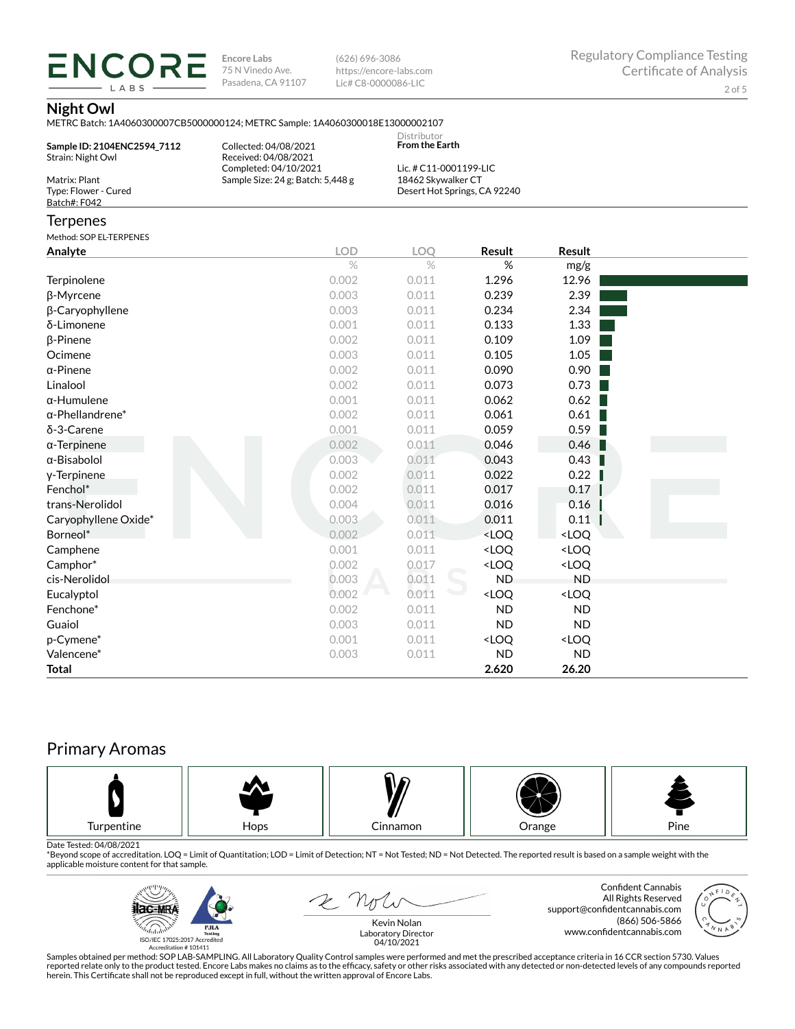**ENCORE** LABS

**Encore Labs** 75 N Vinedo Ave. Pasadena, CA 91107

(626) 696-3086 https://encore-labs.com Lic# C8-0000086-LIC

## **Night Owl**

|                                                       | METRC Batch: 1A4060300007CB5000000124; METRC Sample: 1A4060300018E13000002107 |                                              |                                                          |                              |  |
|-------------------------------------------------------|-------------------------------------------------------------------------------|----------------------------------------------|----------------------------------------------------------|------------------------------|--|
| Sample ID: 2104ENC2594 7112<br>Strain: Night Owl      | Collected: 04/08/2021<br>Received: 04/08/2021                                 | Distributor<br><b>From the Earth</b>         |                                                          |                              |  |
| Matrix: Plant<br>Type: Flower - Cured<br>Batch#: F042 | Completed: 04/10/2021<br>Sample Size: 24 g; Batch: 5,448 g                    | Lic. # C11-0001199-LIC<br>18462 Skywalker CT | Desert Hot Springs, CA 92240                             |                              |  |
| Terpenes                                              |                                                                               |                                              |                                                          |                              |  |
| Method: SOP EL-TERPENES                               |                                                                               |                                              |                                                          |                              |  |
| Analyte                                               | <b>LOD</b>                                                                    | LOQ                                          | <b>Result</b>                                            | Result                       |  |
|                                                       | $\%$                                                                          | $\%$                                         | $\%$                                                     | mg/g                         |  |
| Terpinolene                                           | 0.002                                                                         | 0.011                                        | 1.296                                                    | 12.96                        |  |
| β-Myrcene                                             | 0.003                                                                         | 0.011                                        | 0.239                                                    | 2.39                         |  |
| β-Caryophyllene                                       | 0.003                                                                         | 0.011                                        | 0.234                                                    | 2.34                         |  |
| δ-Limonene                                            | 0.001                                                                         | 0.011                                        | 0.133                                                    | 1.33                         |  |
| β-Pinene                                              | 0.002                                                                         | 0.011                                        | 0.109                                                    | 1.09                         |  |
| Ocimene                                               | 0.003                                                                         | 0.011                                        | 0.105                                                    | 1.05                         |  |
| α-Pinene                                              | 0.002                                                                         | 0.011                                        | 0.090                                                    | 0.90                         |  |
| Linalool                                              | 0.002                                                                         | 0.011                                        | 0.073                                                    | 0.73                         |  |
| α-Humulene                                            | 0.001                                                                         | 0.011                                        | 0.062                                                    | 0.62                         |  |
| $\alpha$ -Phellandrene $^*$                           | 0.002                                                                         | 0.011                                        | 0.061                                                    | 0.61                         |  |
| δ-3-Carene                                            | 0.001                                                                         | 0.011                                        | 0.059                                                    | 0.59                         |  |
| α-Terpinene                                           | 0.002                                                                         | 0.011                                        | 0.046                                                    | 0.46                         |  |
| α-Bisabolol                                           | 0.003                                                                         | 0.011                                        | 0.043                                                    | 0.43                         |  |
| y-Terpinene                                           | 0.002                                                                         | 0.011                                        | 0.022                                                    | 0.22                         |  |
| Fenchol*                                              | 0.002                                                                         | 0.011                                        | 0.017                                                    | 0.17                         |  |
| trans-Nerolidol                                       | 0.004                                                                         | 0.011                                        | 0.016                                                    | 0.16                         |  |
| Caryophyllene Oxide*                                  | 0.003                                                                         | 0.011                                        | 0.011                                                    | 0.11                         |  |
| Borneol*                                              | 0.002                                                                         | 0.011                                        | <loq< td=""><td><loq< td=""><td></td></loq<></td></loq<> | <loq< td=""><td></td></loq<> |  |
| Camphene                                              | 0.001                                                                         | 0.011                                        | <loq< td=""><td><loq< td=""><td></td></loq<></td></loq<> | <loq< td=""><td></td></loq<> |  |
| Camphor*                                              | 0.002                                                                         | 0.017                                        | <loq< td=""><td><loq< td=""><td></td></loq<></td></loq<> | <loq< td=""><td></td></loq<> |  |
| cis-Nerolidol                                         | 0.003                                                                         | 0.011                                        | <b>ND</b>                                                | <b>ND</b>                    |  |
| Eucalyptol                                            | 0.002                                                                         | 0.011                                        | <loq< td=""><td><loq< td=""><td></td></loq<></td></loq<> | <loq< td=""><td></td></loq<> |  |
| Fenchone*                                             | 0.002                                                                         | 0.011                                        | <b>ND</b>                                                | <b>ND</b>                    |  |
| Guaiol                                                | 0.003                                                                         | 0.011                                        | <b>ND</b>                                                | <b>ND</b>                    |  |
| p-Cymene*                                             | 0.001                                                                         | 0.011                                        | <loq< td=""><td><loq< td=""><td></td></loq<></td></loq<> | <loq< td=""><td></td></loq<> |  |
| Valencene*                                            | 0.003                                                                         | 0.011                                        | <b>ND</b>                                                | <b>ND</b>                    |  |
| Total                                                 |                                                                               |                                              | 2.620                                                    | 26.20                        |  |

# Primary Aromas



Date Tested: 04/08/2021<br>\*Beyond scope of accreditation. LOQ = Limit of Quantitation; LOD = Limit of Detection; NT = Not Tested; ND = Not Detected. The reported result is based on a sample weight with the applicable moisture content for that sample.



E not

Confident Cannabis All Rights Reserved support@confidentcannabis.com (866) 506-5866 www.confidentcannabis.com



Kevin Nolan Laboratory Director 04/10/2021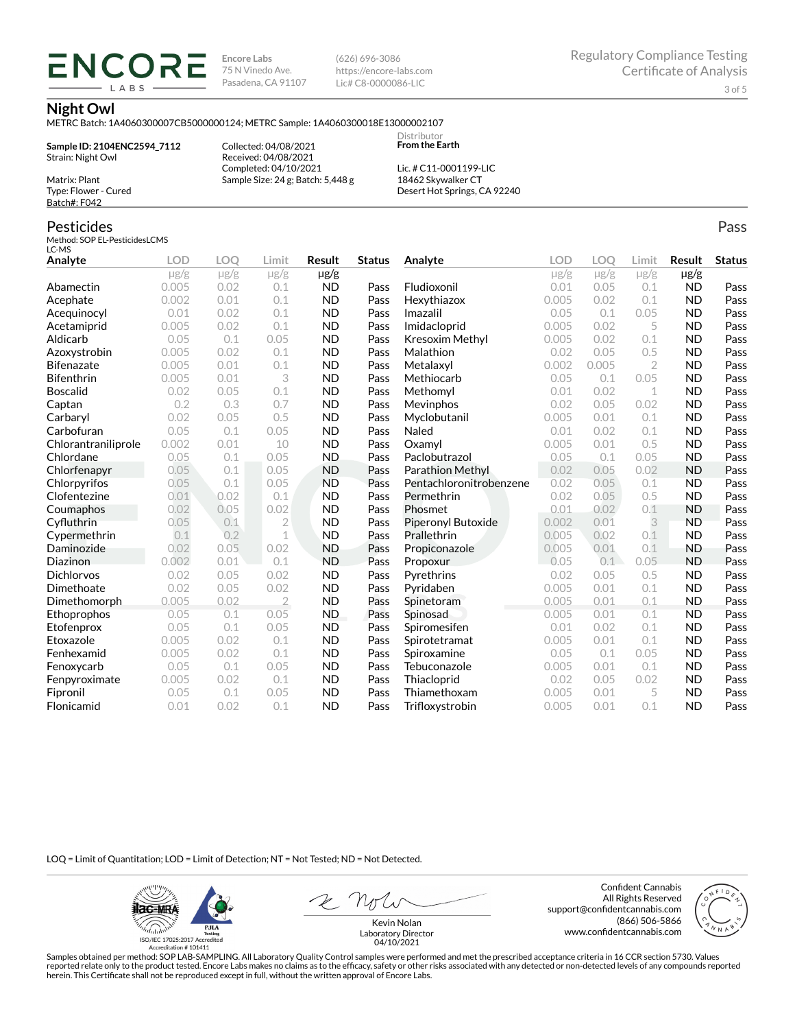**Encore Labs** 75 N Vinedo Ave. Pasadena, CA 91107 (626) 696-3086 https://encore-labs.com Lic# C8-0000086-LIC

Pass

#### **Night Owl**

METRC Batch: 1A4060300007CB5000000124; METRC Sample: 1A4060300018E13000002107

**Sample ID: 2104ENC2594\_7112** Strain: Night Owl Matrix: Plant

ENCOR LABS

> Collected: 04/08/2021 Received: 04/08/2021 Completed: 04/10/2021 Sample Size: 24 g; Batch: 5,448 g

Lic. # C11-0001199-LIC 18462 Skywalker CT Desert Hot Springs, CA 92240

Distributor **From the Earth**

## Pesticides

Type: Flower - Cured Batch#: F042

Method: SOP EL-PesticidesLCMS LC-MS

| Analyte             | <b>LOD</b> | LOO       | Limit          | Result    | <b>Status</b> | Analyte                   | LOD       | LOO       | Limit          | Result    | <b>Status</b> |
|---------------------|------------|-----------|----------------|-----------|---------------|---------------------------|-----------|-----------|----------------|-----------|---------------|
|                     | $\mu$ g/g  | $\mu$ g/g | $\mu$ g/g      | $\mu$ g/g |               |                           | $\mu$ g/g | $\mu$ g/g | $\mu$ g/g      | $\mu$ g/g |               |
| Abamectin           | 0.005      | 0.02      | 0.1            | <b>ND</b> | Pass          | Fludioxonil               | 0.01      | 0.05      | 0.1            | <b>ND</b> | Pass          |
| Acephate            | 0.002      | 0.01      | 0.1            | <b>ND</b> | Pass          | Hexythiazox               | 0.005     | 0.02      | 0.1            | <b>ND</b> | Pass          |
| Acequinocyl         | 0.01       | 0.02      | 0.1            | <b>ND</b> | Pass          | Imazalil                  | 0.05      | 0.1       | 0.05           | <b>ND</b> | Pass          |
| Acetamiprid         | 0.005      | 0.02      | 0.1            | <b>ND</b> | Pass          | Imidacloprid              | 0.005     | 0.02      | 5              | <b>ND</b> | Pass          |
| Aldicarb            | 0.05       | 0.1       | 0.05           | <b>ND</b> | Pass          | <b>Kresoxim Methyl</b>    | 0.005     | 0.02      | 0.1            | <b>ND</b> | Pass          |
| Azoxystrobin        | 0.005      | 0.02      | 0.1            | <b>ND</b> | Pass          | Malathion                 | 0.02      | 0.05      | 0.5            | <b>ND</b> | Pass          |
| <b>Bifenazate</b>   | 0.005      | 0.01      | 0.1            | <b>ND</b> | Pass          | Metalaxyl                 | 0.002     | 0.005     | $\overline{2}$ | <b>ND</b> | Pass          |
| <b>Bifenthrin</b>   | 0.005      | 0.01      | 3              | <b>ND</b> | Pass          | Methiocarb                | 0.05      | 0.1       | 0.05           | <b>ND</b> | Pass          |
| <b>Boscalid</b>     | 0.02       | 0.05      | 0.1            | <b>ND</b> | Pass          | Methomyl                  | 0.01      | 0.02      | 1              | <b>ND</b> | Pass          |
| Captan              | 0.2        | 0.3       | 0.7            | <b>ND</b> | Pass          | Mevinphos                 | 0.02      | 0.05      | 0.02           | <b>ND</b> | Pass          |
| Carbaryl            | 0.02       | 0.05      | 0.5            | <b>ND</b> | Pass          | Myclobutanil              | 0.005     | 0.01      | 0.1            | <b>ND</b> | Pass          |
| Carbofuran          | 0.05       | 0.1       | 0.05           | <b>ND</b> | Pass          | Naled                     | 0.01      | 0.02      | 0.1            | <b>ND</b> | Pass          |
| Chlorantraniliprole | 0.002      | 0.01      | 10             | <b>ND</b> | Pass          | Oxamyl                    | 0.005     | 0.01      | 0.5            | <b>ND</b> | Pass          |
| Chlordane           | 0.05       | 0.1       | 0.05           | <b>ND</b> | Pass          | Paclobutrazol             | 0.05      | 0.1       | 0.05           | <b>ND</b> | Pass          |
| Chlorfenapyr        | 0.05       | 0.1       | 0.05           | <b>ND</b> | Pass          | Parathion Methyl          | 0.02      | 0.05      | 0.02           | <b>ND</b> | Pass          |
| Chlorpyrifos        | 0.05       | 0.1       | 0.05           | <b>ND</b> | Pass          | Pentachloronitrobenzene   | 0.02      | 0.05      | 0.1            | <b>ND</b> | Pass          |
| Clofentezine        | 0.01       | 0.02      | 0.1            | <b>ND</b> | Pass          | Permethrin                | 0.02      | 0.05      | 0.5            | <b>ND</b> | Pass          |
| Coumaphos           | 0.02       | 0.05      | 0.02           | <b>ND</b> | Pass          | Phosmet                   | 0.01      | 0.02      | 0.1            | <b>ND</b> | Pass          |
| Cyfluthrin          | 0.05       | 0.1       | $\overline{2}$ | <b>ND</b> | Pass          | <b>Piperonyl Butoxide</b> | 0.002     | 0.01      | 3              | <b>ND</b> | Pass          |
| Cypermethrin        | 0.1        | 0.2       | 1              | <b>ND</b> | Pass          | Prallethrin               | 0.005     | 0.02      | 0.1            | <b>ND</b> | Pass          |
| Daminozide          | 0.02       | 0.05      | 0.02           | <b>ND</b> | Pass          | Propiconazole             | 0.005     | 0.01      | 0.1            | <b>ND</b> | Pass          |
| Diazinon            | 0.002      | 0.01      | 0.1            | <b>ND</b> | Pass          | Propoxur                  | 0.05      | 0.1       | 0.05           | <b>ND</b> | Pass          |
| <b>Dichlorvos</b>   | 0.02       | 0.05      | 0.02           | <b>ND</b> | Pass          | Pyrethrins                | 0.02      | 0.05      | 0.5            | <b>ND</b> | Pass          |
| Dimethoate          | 0.02       | 0.05      | 0.02           | <b>ND</b> | Pass          | Pyridaben                 | 0.005     | 0.01      | 0.1            | <b>ND</b> | Pass          |
| Dimethomorph        | 0.005      | 0.02      | $\overline{2}$ | <b>ND</b> | Pass          | Spinetoram                | 0.005     | 0.01      | 0.1            | <b>ND</b> | Pass          |
| Ethoprophos         | 0.05       | 0.1       | 0.05           | <b>ND</b> | Pass          | Spinosad                  | 0.005     | 0.01      | 0.1            | <b>ND</b> | Pass          |
| Etofenprox          | 0.05       | 0.1       | 0.05           | <b>ND</b> | Pass          | Spiromesifen              | 0.01      | 0.02      | 0.1            | <b>ND</b> | Pass          |
| Etoxazole           | 0.005      | 0.02      | 0.1            | <b>ND</b> | Pass          | Spirotetramat             | 0.005     | 0.01      | 0.1            | <b>ND</b> | Pass          |
| Fenhexamid          | 0.005      | 0.02      | 0.1            | <b>ND</b> | Pass          | Spiroxamine               | 0.05      | 0.1       | 0.05           | <b>ND</b> | Pass          |
| Fenoxycarb          | 0.05       | 0.1       | 0.05           | <b>ND</b> | Pass          | Tebuconazole              | 0.005     | 0.01      | 0.1            | <b>ND</b> | Pass          |
| Fenpyroximate       | 0.005      | 0.02      | 0.1            | <b>ND</b> | Pass          | Thiacloprid               | 0.02      | 0.05      | 0.02           | <b>ND</b> | Pass          |
| Fipronil            | 0.05       | 0.1       | 0.05           | <b>ND</b> | Pass          | Thiamethoxam              | 0.005     | 0.01      | 5              | <b>ND</b> | Pass          |
| Flonicamid          | 0.01       | 0.02      | 0.1            | <b>ND</b> | Pass          | Trifloxystrobin           | 0.005     | 0.01      | 0.1            | <b>ND</b> | Pass          |

LOQ = Limit of Quantitation; LOD = Limit of Detection; NT = Not Tested; ND = Not Detected.

**Hac-MRA PJLA** alahin resung<br>ISO/IEC 17025:2017 Accredited<br>Accreditation # 101411

Confident Cannabis All Rights Reserved support@confidentcannabis.com (866) 506-5866 www.confidentcannabis.com



Kevin Nolan Laboratory Director 04/10/2021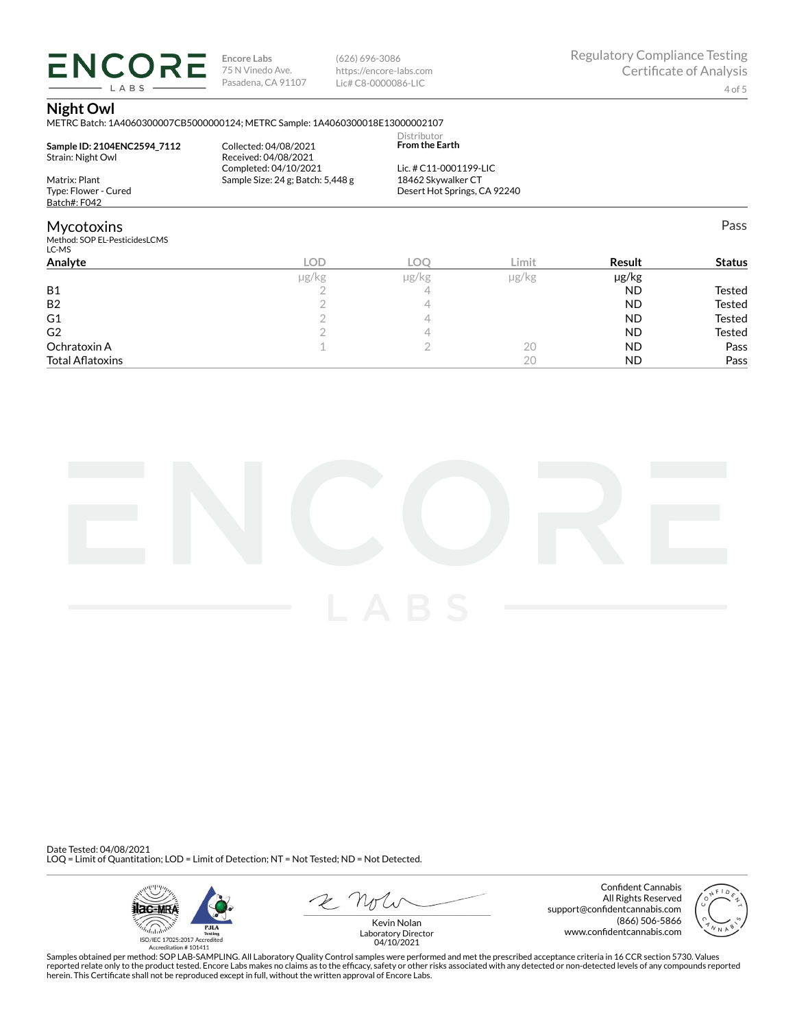**ENCORE** LABS

**Encore Labs** 75 N Vinedo Ave. Pasadena, CA 91107

(626) 696-3086 https://encore-labs.com Lic# C8-0000086-LIC

## **Night Owl**

METRC Batch: 1A4060300007CB5000000124; METRC Sample: 1A4060300018E13000002107

|                                        |                                               |                                      |        | $\overline{\phantom{a}}$ |               |
|----------------------------------------|-----------------------------------------------|--------------------------------------|--------|--------------------------|---------------|
| Analyte                                | <b>LOD</b>                                    | LOO                                  | Limit. | Result                   | <b>Status</b> |
| Method: SOP EL-PesticidesLCMS<br>LC-MS |                                               |                                      |        |                          |               |
| <b>Mycotoxins</b>                      |                                               |                                      |        |                          | Pass          |
| Batch#: F042                           |                                               |                                      |        |                          |               |
| Type: Flower - Cured                   |                                               | Desert Hot Springs, CA 92240         |        |                          |               |
| Strain: Night Owl<br>Matrix: Plant     | Sample Size: 24 g; Batch: 5,448 g             | 18462 Skywalker CT                   |        |                          |               |
|                                        | Received: 04/08/2021<br>Completed: 04/10/2021 | Lic. # C11-0001199-LIC               |        |                          |               |
| Sample ID: 2104ENC2594 7112            | Collected: 04/08/2021                         | Distributor<br><b>From the Earth</b> |        |                          |               |

| µg/kg                                   | $\mu$ g/kg | µg/kg | µg/kg     |               |
|-----------------------------------------|------------|-------|-----------|---------------|
|                                         |            |       | <b>ND</b> | Tested        |
|                                         |            |       | <b>ND</b> | <b>Tested</b> |
|                                         |            |       | <b>ND</b> | <b>Tested</b> |
|                                         |            |       | <b>ND</b> | Tested        |
|                                         |            | 20    | <b>ND</b> | Pass          |
|                                         |            | 20    | <b>ND</b> | Pass          |
| Ochratoxin A<br><b>Total Aflatoxins</b> |            |       |           |               |



Date Tested: 04/08/2021 LOQ = Limit of Quantitation; LOD = Limit of Detection; NT = Not Tested; ND = Not Detected.



 $R$  Mr

Confident Cannabis All Rights Reserved support@confidentcannabis.com (866) 506-5866 www.confidentcannabis.com



Kevin Nolan Laboratory Director 04/10/2021